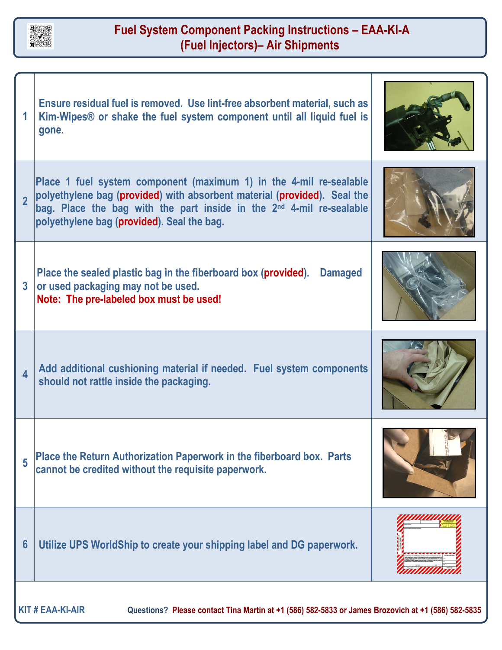

## **Fuel System Component Packing Instructions – EAA-KI-A (Fuel Injectors)– Air Shipments**

|                                                                                                                               | Ensure residual fuel is removed. Use lint-free absorbent material, such as<br>Kim-Wipes <sup>®</sup> or shake the fuel system component until all liquid fuel is<br>gone.                                                                                                        |  |
|-------------------------------------------------------------------------------------------------------------------------------|----------------------------------------------------------------------------------------------------------------------------------------------------------------------------------------------------------------------------------------------------------------------------------|--|
| $\overline{\mathbf{c}}$                                                                                                       | Place 1 fuel system component (maximum 1) in the 4-mil re-sealable<br>polyethylene bag (provided) with absorbent material (provided). Seal the<br>bag. Place the bag with the part inside in the 2 <sup>nd</sup> 4-mil re-sealable<br>polyethylene bag (provided). Seal the bag. |  |
| $\overline{3}$                                                                                                                | Place the sealed plastic bag in the fiberboard box (provided).  Damaged<br>or used packaging may not be used.<br>Note: The pre-labeled box must be used!                                                                                                                         |  |
| 4                                                                                                                             | Add additional cushioning material if needed. Fuel system components<br>should not rattle inside the packaging.                                                                                                                                                                  |  |
| 5                                                                                                                             | Place the Return Authorization Paperwork in the fiberboard box. Parts<br>cannot be credited without the requisite paperwork.                                                                                                                                                     |  |
| 6                                                                                                                             | Utilize UPS WorldShip to create your shipping label and DG paperwork.                                                                                                                                                                                                            |  |
| <b>KIT # EAA-KI-AIR</b><br>Questions? Please contact Tina Martin at +1 (586) 582-5833 or James Brozovich at +1 (586) 582-5835 |                                                                                                                                                                                                                                                                                  |  |